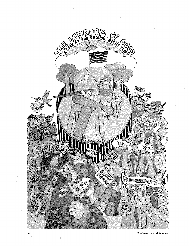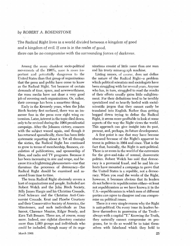# by ROBERT A. ROSENSTONE

The Radical Right lives in a world divided between a kingdom of good and a kingdom of evil. If one is in the realm of good, there can be no compromise with the surrounding forces of darkness.

Among the many dissident socio-political movements of the 1960's, none is more important and potentially dangerous to the United States than that group of organizations that the press and public have come to know as the Radical Bight. Yet because of certain demands of time, space, and newsworthiness, the mass media have not done a very good job of covering such organizations. Or, rather, their coverage has been a sometime thing.

Early in the Kennedy years, when the John Birch Society first surfaced, there was an immense fuss in the press over right wing extremism. Later, interest in the topic died down, only to be revived during the 1964 presidential campaign. After the Johnson victory, concern with the subject waned again, and though it has returned sporadically, there has been little systematic reporting about it. Yet all through the sixties, the Radical Right has continued to grow in terms of membership, finances, circulation of publications, and sponsorship of films, and radio and TV programs. Because it has been increasing in size and scope, and because it is a frightening phenomenon-one that threatens the processes of democracy-the Radical Right should be examined and assessed from time to time.

The term Radical Right obviously covers a host of organizations and people. Included are Robert Welch and the John Birch Society, Billy James Hargis and his Christian Crusade, Fred Schwarz and the Christian Anti-Communist Crusade, Kent and Phoebe Courtney and their Conservative Society of America, the Minutemen, and such individuals as Dan Smoot, Clarence Manion, Edgar Bundy, and Ezra Taft Benson. There are, of course, many more. Indeed, one rightist directory contains more than 1,000 groups and individuals who could be included, though many of its organizations consist of little more than one man and his trusty mimeograph machine.

Listing names, of course, does not define the nature of the Radical Right-a problem which political scientists and sociologists have been struggling with for several years. Anyone who has, in turn, struggled to read the results of their efforts usually gains little enlightenment. For their definitions tend to be terribly specialized and so heavily larded with socialscientific jargon that they cannot easily be translated into English. Rather than getting bogged down trying to define the Radical Right, it seems more profitable to look at some aspects of the way the Right views the world. This approach can give insight into its past, present, and, perhaps, its future development.

A first point is one that may have become obscured because of the Right's apparent interest in politics in 1964 and since. That is the fact that, basically, the Right is anti-political. There is no room in the world of the extremists for the give-and-take of normal, democratic politics. Robert Welch has said that democracy is a perennial fraud, and he and his cohorts have mounted a campaign to prove that the United States is a republic, not a democracy. When you read the works of the Right, however, it becomes obvious that its leaders do not believe in republicanism either-at least not republicanism as we have known it in the U.S.-republicanism in which men of different parties can agree to disagree and can compromise on political issues.

There is a very simple reason why the Right is anti-political. On every issue its leaders believe themselves in possession of the Truthalways with a capital "T." Knowing the Truth, they naturally cannot compromise on programs, for to do so would be to taint themselves with falsehood which they hold to

March 1968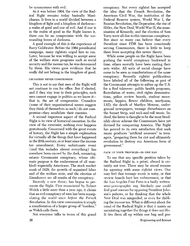be synonymous with evil.

As it was before 1964, the view of the Radical Right remains today basically Manichaean. It lives in a world divided between a kingdom of light and a kingdom of darknessa realm of good and one of evil. And if one is in the realm of good as the Right knows it, there can be no compromise with the surrounding forces of darkness.

A good example of this is the experience of Barry Goldwater. Before the 1964 presidential campaign, many rightists urged him to run. Later, because he was willing to accept some of the welfare state programs such as social security and the income tax, he was denounced by them. His views gave evidence that he really did not belong in the kingdom of good.

### CRUSADERS NEVER COMPROMISE

This is not to say that men of the Right will not continue to run for office. But if elected, and if they stay true to their principles, such men cannot engage in politics as we know itthat is, the art of compromise. Crusaders (some of their organizational names suggest they think of themselves as such) do not compromise-they annihilate their enemies.

A second important aspect of the Radical Right is its view of historical causation. In the view of the extremist, nothing ever happens gratuitously. Concerned with the great events of history, the Right has a simple explanation for virtually all the things that have happened in the 20th century, or at least since the income tax amendment. Every unfortunate event (and this includes almost everything) has somehow been caused by the dark, menacing, satanic Communist conspiracy, whose ultimate purpose is the enslavement of all mankind-especially Americans. The stock market crash of 1929, the growth of organized labor and of the welfare state, and the election of Eisenhower are all results of the conspiracy.

Recently a new theory has begun to permeate the Right, First enunciated by Robert Welch a little more than a year ago, it claims that an evil conspiracy of men has been manipulating the world since *before the French Revolution.* In this view communism is simply a manifestation of a larger group of "insiders," as Welch calls them.

Not everyone talks in terms of this grand

conspiracy. Not every rightist has accepted the idea that the French Revolution, the American Civil War, the institution of the Federal Reserve system, World War I, the Russian Revolution, the Depression, the rise of Hitler, the New Deal, World War **11,** the assassination of Kennedy, and the election of Sam Yorty were all due to this immense conspiracy. But since so many can believe that every President since FDR has been consciously serving Communism, there is little to keep them from accepting this newer theory.

While some people on the Right have been pushing the world conspiracy backward in time, others recently have been casting their nets wider. All sorts of social change have come to be seen as manifestations of the same conspiracy. Recently rightist publications have labeled all of the following as part of the Communist attempts to soften up the U.S. for a Red takeover: public health programs, fluoridation of water, civil rights demonstrations, police review boards, student movements, hippies, flower children, marijuana, LSD, the death of Marilyn Monroe, underground newspapers, teenage disturbances on the Sunset Strip, and rock-and-roll music. Indeed, the latter is thought to be the most fiendishly clever scheme the Communists have yet devised for conquering America. The Right has proved to its own satisfaction that such music produces "artificial neuroses" in teenagers, "preparing them for riot and ultimately revolution to destroy our American form of government."

#### PACK UP YOUR TROUBLES-IN ONE BAG

To say that any specific position taken by the Radical Right is, a priori, absurd is certainly not true. There may be sound reasons for agreeing with some rightist views. One may feel that teenage music is noisy, or that review boards hurt law enforcement, or that the Los Angeles *Free Press* is a badly written semi-pornographic rag. Similarly one could find good reasons for opposing President Johnson's policies, or for thinking that the whole New Deal was misguided, or even for disliking the income tax. What is different about the mind of the Radical Right is that it insists on associating together the things it does not like. It ties them all up within one bag and pro-

26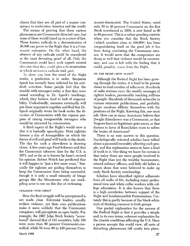claims that they are all part of a master conspiracy to undermine America and the world.

The means of proving that these various phenomena are Communist-directed vary, but none of them would stand up in a court of law. Three known radicals in a demonstration of 50,000 can prove to the Right that it is a Communist enterprise. On the other hand, the *absence* of any radicals could be considered as the most devasting proof of all. Only the Communists could have such superb control of events that they could plan a demonstration in which no known radicals took part.

To show you how the mind of the Right works, a prediction is in order. Benjamin Spock has recently been indicted for his antidraft activities. Some people feel that the trouble with teenagers today is that they were raised according to Dr. Spock's teachings, which, they believe, lead to lack of responsibility. Undoubtedly, someone eventually will put these arguments together and find that Dr. Spock originally wrote his book under the direction of Communists with the express purpose of raising irresponsible teenagers who would be attracted by communism.

A third aspect of the Right's world view is that it is basically apocalyptic. Most rightists foresee a day of Armageddon on which the forces of evil and good will battle to the death. The day for such a showdown is drawing closer. A few years ago Fred Schwarz said that the Communist takeover date for the U.S. is 1973, and so far as is known he hasn't revised his opinion. Robert Welch has predicted that it will happen in "just a few more years." Naturally the rightists are girding themselves to keep the Communists from being successful, though it is only a small minority of fringe groups like the Minutemen who are stockpiling arms to use on this day of reckoning.

#### VIOLENCE-WHO FIRST?

How the final struggle will be precipitated is not made clear. Extremist leaders usually eschew violence, yet their own publications make it seem unlikely that the Communist conspiracy will precipitate an open battle. For example, the 1967 John Birch Society "scoreboard" showed that of 141 countries, fully 108 were more than 50 percent Communist-controlled, while 54 were 80 to 100 percent Communist-dominated. The United States, rated only 20 to 40 percent Communist on the first Birch scoreboard in 1958, is now listed as 60 to 80 percent. This is a rather puzzling statistic when you consider that the Birch Society (which numbers close to 100,000) has been congratulating itself on the good job it has been doing combating the Communist menace. It would seem that the conspirators are doing so well that violence would be unnecessary, and one is left with the feeling that it could, possibly, come from the Kight.

### ON THE RIGHT-HOW MANY?

Although the Radical Right has been growing through the sixties, it is hard to be precise about its total number of adherents. Hundreds of radio stations carry the weekly messages of rightist leaders, presumably reaching millions of people. Hundreds of thousands subscribe to various extremist publications, and probably larger numbers affiliate themselves with the positions of the Right. Knowing this, one must ask: How can so many Americans believe that Dwight Eisenhower was a Communist, or that Negroes have no legitimate grievances, or that doctors in favor of fluoridation want to soften the brains of Americans?

There is no easy answer to this question. Psychologically oriented scholars have talked about a paranoid mentality affecting such people, and this explanation seems to have a kind of truth to it. One thing we know for certain is that today there are more people involved in the Right than just the wealthy businessmen, retired military officers, and little old ladies in tennis shoes that were believed to make up early Birch Society membership.

Scholars have identified rightist adherents from all walks of life, including many professional men and white collar workers with college educations. It is also known that there is a high correlation between support of the Right and fundamentalist Protestantism. Certainly this is partly because of the black-white style of thinking common to both groups.

One partial explanation for the success of the Radical Right is that it provides a simple and, in its own terms, coherent explanation for the chaotic conditions affecting the U.S. Once a person accepts this world view, all sorts of disturbing phenomena fall neatly into place,